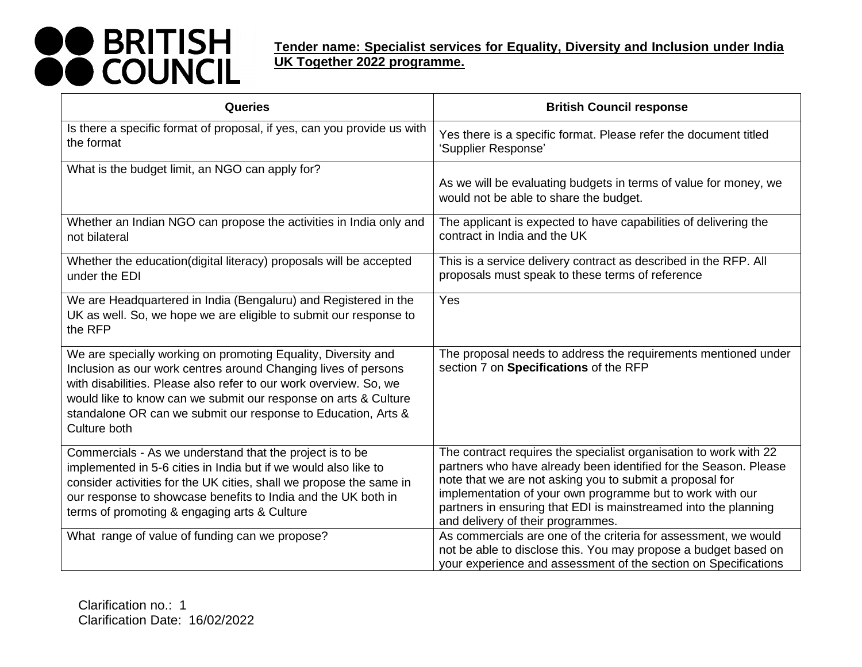| Queries                                                                                                                                                                                                                                                                                                                                                  | <b>British Council response</b>                                                                                                                                                                                                                                                                                                                                        |
|----------------------------------------------------------------------------------------------------------------------------------------------------------------------------------------------------------------------------------------------------------------------------------------------------------------------------------------------------------|------------------------------------------------------------------------------------------------------------------------------------------------------------------------------------------------------------------------------------------------------------------------------------------------------------------------------------------------------------------------|
| Is there a specific format of proposal, if yes, can you provide us with<br>the format                                                                                                                                                                                                                                                                    | Yes there is a specific format. Please refer the document titled<br>'Supplier Response'                                                                                                                                                                                                                                                                                |
| What is the budget limit, an NGO can apply for?                                                                                                                                                                                                                                                                                                          | As we will be evaluating budgets in terms of value for money, we<br>would not be able to share the budget.                                                                                                                                                                                                                                                             |
| Whether an Indian NGO can propose the activities in India only and<br>not bilateral                                                                                                                                                                                                                                                                      | The applicant is expected to have capabilities of delivering the<br>contract in India and the UK                                                                                                                                                                                                                                                                       |
| Whether the education(digital literacy) proposals will be accepted<br>under the EDI                                                                                                                                                                                                                                                                      | This is a service delivery contract as described in the RFP. All<br>proposals must speak to these terms of reference                                                                                                                                                                                                                                                   |
| We are Headquartered in India (Bengaluru) and Registered in the<br>UK as well. So, we hope we are eligible to submit our response to<br>the RFP                                                                                                                                                                                                          | Yes                                                                                                                                                                                                                                                                                                                                                                    |
| We are specially working on promoting Equality, Diversity and<br>Inclusion as our work centres around Changing lives of persons<br>with disabilities. Please also refer to our work overview. So, we<br>would like to know can we submit our response on arts & Culture<br>standalone OR can we submit our response to Education, Arts &<br>Culture both | The proposal needs to address the requirements mentioned under<br>section 7 on Specifications of the RFP                                                                                                                                                                                                                                                               |
| Commercials - As we understand that the project is to be<br>implemented in 5-6 cities in India but if we would also like to<br>consider activities for the UK cities, shall we propose the same in<br>our response to showcase benefits to India and the UK both in<br>terms of promoting & engaging arts & Culture                                      | The contract requires the specialist organisation to work with 22<br>partners who have already been identified for the Season. Please<br>note that we are not asking you to submit a proposal for<br>implementation of your own programme but to work with our<br>partners in ensuring that EDI is mainstreamed into the planning<br>and delivery of their programmes. |
| What range of value of funding can we propose?                                                                                                                                                                                                                                                                                                           | As commercials are one of the criteria for assessment, we would<br>not be able to disclose this. You may propose a budget based on<br>your experience and assessment of the section on Specifications                                                                                                                                                                  |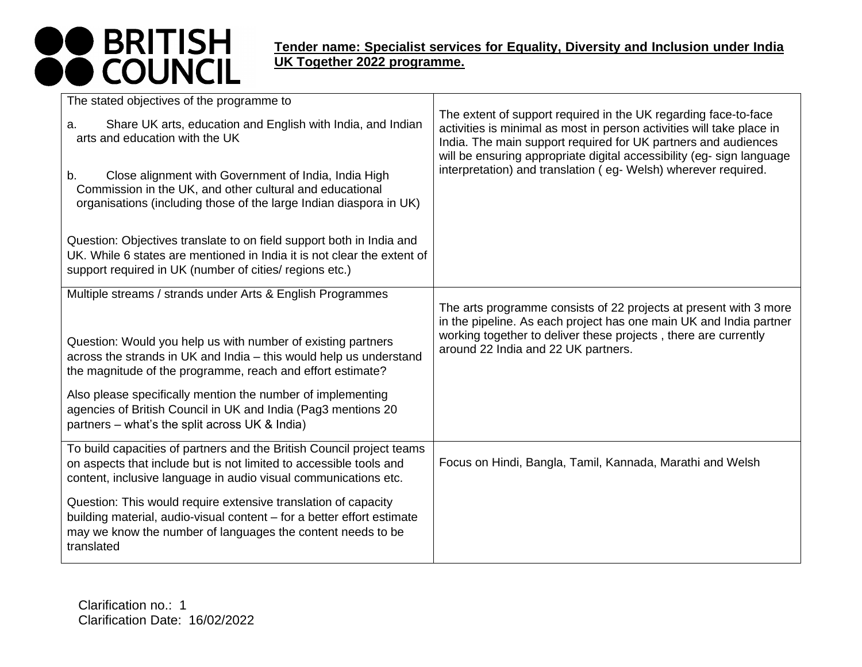| The stated objectives of the programme to                                                                                                                                                                                                                                                                                                                                                      |                                                                                                                                                                                                                                                                                                                                                      |
|------------------------------------------------------------------------------------------------------------------------------------------------------------------------------------------------------------------------------------------------------------------------------------------------------------------------------------------------------------------------------------------------|------------------------------------------------------------------------------------------------------------------------------------------------------------------------------------------------------------------------------------------------------------------------------------------------------------------------------------------------------|
| Share UK arts, education and English with India, and Indian<br>a.<br>arts and education with the UK<br>Close alignment with Government of India, India High<br>b.<br>Commission in the UK, and other cultural and educational<br>organisations (including those of the large Indian diaspora in UK)                                                                                            | The extent of support required in the UK regarding face-to-face<br>activities is minimal as most in person activities will take place in<br>India. The main support required for UK partners and audiences<br>will be ensuring appropriate digital accessibility (eg-sign language<br>interpretation) and translation (eg- Welsh) wherever required. |
| Question: Objectives translate to on field support both in India and<br>UK. While 6 states are mentioned in India it is not clear the extent of<br>support required in UK (number of cities/ regions etc.)                                                                                                                                                                                     |                                                                                                                                                                                                                                                                                                                                                      |
| Multiple streams / strands under Arts & English Programmes<br>Question: Would you help us with number of existing partners<br>across the strands in UK and India - this would help us understand<br>the magnitude of the programme, reach and effort estimate?<br>Also please specifically mention the number of implementing<br>agencies of British Council in UK and India (Pag3 mentions 20 | The arts programme consists of 22 projects at present with 3 more<br>in the pipeline. As each project has one main UK and India partner<br>working together to deliver these projects, there are currently<br>around 22 India and 22 UK partners.                                                                                                    |
| partners – what's the split across UK & India)                                                                                                                                                                                                                                                                                                                                                 |                                                                                                                                                                                                                                                                                                                                                      |
| To build capacities of partners and the British Council project teams<br>on aspects that include but is not limited to accessible tools and<br>content, inclusive language in audio visual communications etc.                                                                                                                                                                                 | Focus on Hindi, Bangla, Tamil, Kannada, Marathi and Welsh                                                                                                                                                                                                                                                                                            |
| Question: This would require extensive translation of capacity<br>building material, audio-visual content - for a better effort estimate<br>may we know the number of languages the content needs to be<br>translated                                                                                                                                                                          |                                                                                                                                                                                                                                                                                                                                                      |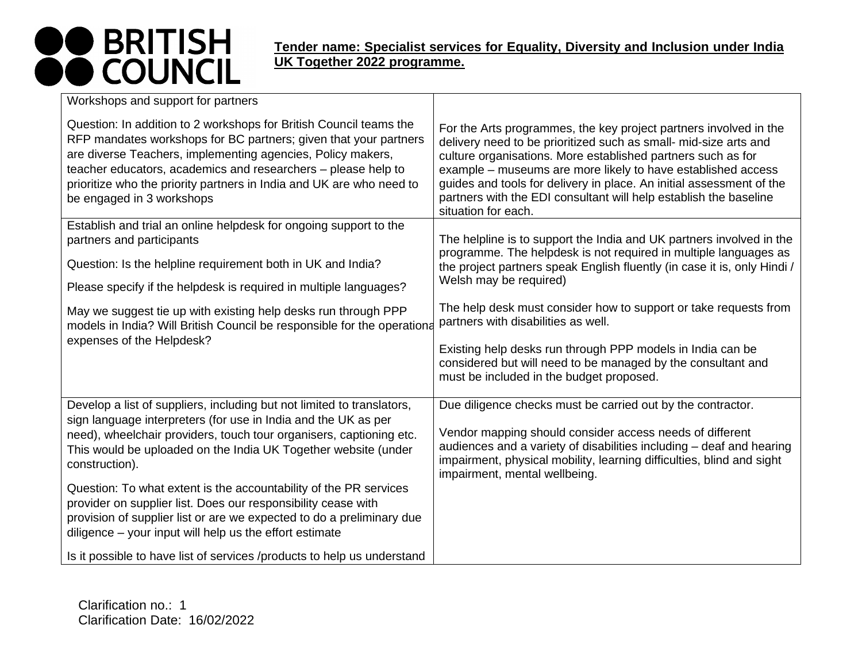| Workshops and support for partners                                                                                                                                                                                                                                                                                                                                          |                                                                                                                                                                                                                                                                                                                                                                                                                                           |
|-----------------------------------------------------------------------------------------------------------------------------------------------------------------------------------------------------------------------------------------------------------------------------------------------------------------------------------------------------------------------------|-------------------------------------------------------------------------------------------------------------------------------------------------------------------------------------------------------------------------------------------------------------------------------------------------------------------------------------------------------------------------------------------------------------------------------------------|
| Question: In addition to 2 workshops for British Council teams the<br>RFP mandates workshops for BC partners; given that your partners<br>are diverse Teachers, implementing agencies, Policy makers,<br>teacher educators, academics and researchers - please help to<br>prioritize who the priority partners in India and UK are who need to<br>be engaged in 3 workshops | For the Arts programmes, the key project partners involved in the<br>delivery need to be prioritized such as small- mid-size arts and<br>culture organisations. More established partners such as for<br>example - museums are more likely to have established access<br>guides and tools for delivery in place. An initial assessment of the<br>partners with the EDI consultant will help establish the baseline<br>situation for each. |
| Establish and trial an online helpdesk for ongoing support to the                                                                                                                                                                                                                                                                                                           |                                                                                                                                                                                                                                                                                                                                                                                                                                           |
| partners and participants<br>Question: Is the helpline requirement both in UK and India?                                                                                                                                                                                                                                                                                    | The helpline is to support the India and UK partners involved in the<br>programme. The helpdesk is not required in multiple languages as<br>the project partners speak English fluently (in case it is, only Hindi /                                                                                                                                                                                                                      |
| Please specify if the helpdesk is required in multiple languages?                                                                                                                                                                                                                                                                                                           | Welsh may be required)                                                                                                                                                                                                                                                                                                                                                                                                                    |
| May we suggest tie up with existing help desks run through PPP<br>models in India? Will British Council be responsible for the operationa                                                                                                                                                                                                                                   | The help desk must consider how to support or take requests from<br>partners with disabilities as well.                                                                                                                                                                                                                                                                                                                                   |
| expenses of the Helpdesk?                                                                                                                                                                                                                                                                                                                                                   | Existing help desks run through PPP models in India can be<br>considered but will need to be managed by the consultant and<br>must be included in the budget proposed.                                                                                                                                                                                                                                                                    |
| Develop a list of suppliers, including but not limited to translators,<br>sign language interpreters (for use in India and the UK as per<br>need), wheelchair providers, touch tour organisers, captioning etc.<br>This would be uploaded on the India UK Together website (under<br>construction).                                                                         | Due diligence checks must be carried out by the contractor.<br>Vendor mapping should consider access needs of different<br>audiences and a variety of disabilities including - deaf and hearing<br>impairment, physical mobility, learning difficulties, blind and sight                                                                                                                                                                  |
| Question: To what extent is the accountability of the PR services<br>provider on supplier list. Does our responsibility cease with<br>provision of supplier list or are we expected to do a preliminary due<br>diligence – your input will help us the effort estimate                                                                                                      | impairment, mental wellbeing.                                                                                                                                                                                                                                                                                                                                                                                                             |
| Is it possible to have list of services /products to help us understand                                                                                                                                                                                                                                                                                                     |                                                                                                                                                                                                                                                                                                                                                                                                                                           |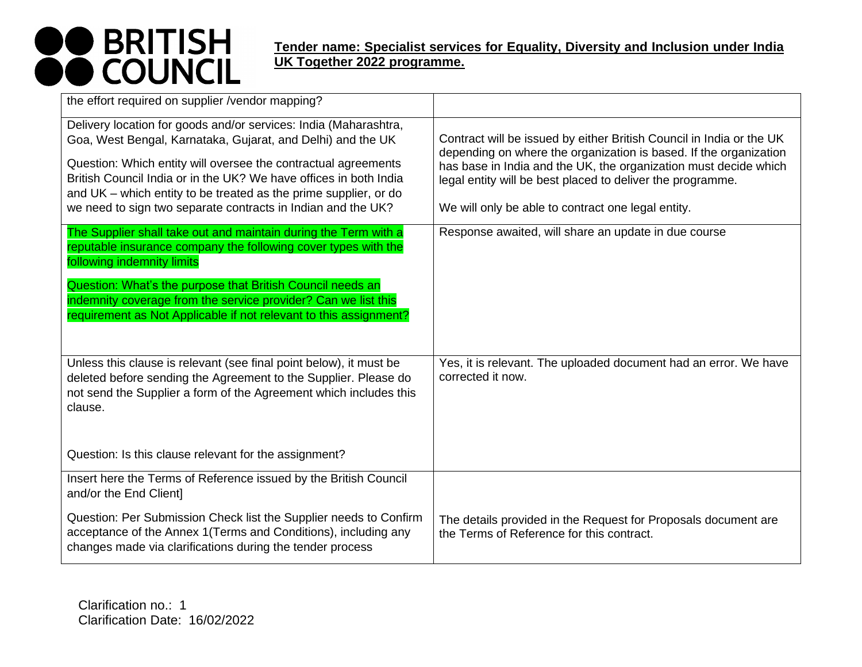| the effort required on supplier /vendor mapping?                                                                                                                                                                                                                                                                                                                                                           |                                                                                                                                                                                                                                                                                                                                   |
|------------------------------------------------------------------------------------------------------------------------------------------------------------------------------------------------------------------------------------------------------------------------------------------------------------------------------------------------------------------------------------------------------------|-----------------------------------------------------------------------------------------------------------------------------------------------------------------------------------------------------------------------------------------------------------------------------------------------------------------------------------|
| Delivery location for goods and/or services: India (Maharashtra,<br>Goa, West Bengal, Karnataka, Gujarat, and Delhi) and the UK<br>Question: Which entity will oversee the contractual agreements<br>British Council India or in the UK? We have offices in both India<br>and UK – which entity to be treated as the prime supplier, or do<br>we need to sign two separate contracts in Indian and the UK? | Contract will be issued by either British Council in India or the UK<br>depending on where the organization is based. If the organization<br>has base in India and the UK, the organization must decide which<br>legal entity will be best placed to deliver the programme.<br>We will only be able to contract one legal entity. |
| The Supplier shall take out and maintain during the Term with a<br>reputable insurance company the following cover types with the<br>following indemnity limits                                                                                                                                                                                                                                            | Response awaited, will share an update in due course                                                                                                                                                                                                                                                                              |
| Question: What's the purpose that British Council needs an<br>indemnity coverage from the service provider? Can we list this<br>requirement as Not Applicable if not relevant to this assignment?                                                                                                                                                                                                          |                                                                                                                                                                                                                                                                                                                                   |
| Unless this clause is relevant (see final point below), it must be<br>deleted before sending the Agreement to the Supplier. Please do<br>not send the Supplier a form of the Agreement which includes this<br>clause.                                                                                                                                                                                      | Yes, it is relevant. The uploaded document had an error. We have<br>corrected it now.                                                                                                                                                                                                                                             |
| Question: Is this clause relevant for the assignment?                                                                                                                                                                                                                                                                                                                                                      |                                                                                                                                                                                                                                                                                                                                   |
| Insert here the Terms of Reference issued by the British Council<br>and/or the End Client]                                                                                                                                                                                                                                                                                                                 |                                                                                                                                                                                                                                                                                                                                   |
| Question: Per Submission Check list the Supplier needs to Confirm<br>acceptance of the Annex 1 (Terms and Conditions), including any<br>changes made via clarifications during the tender process                                                                                                                                                                                                          | The details provided in the Request for Proposals document are<br>the Terms of Reference for this contract.                                                                                                                                                                                                                       |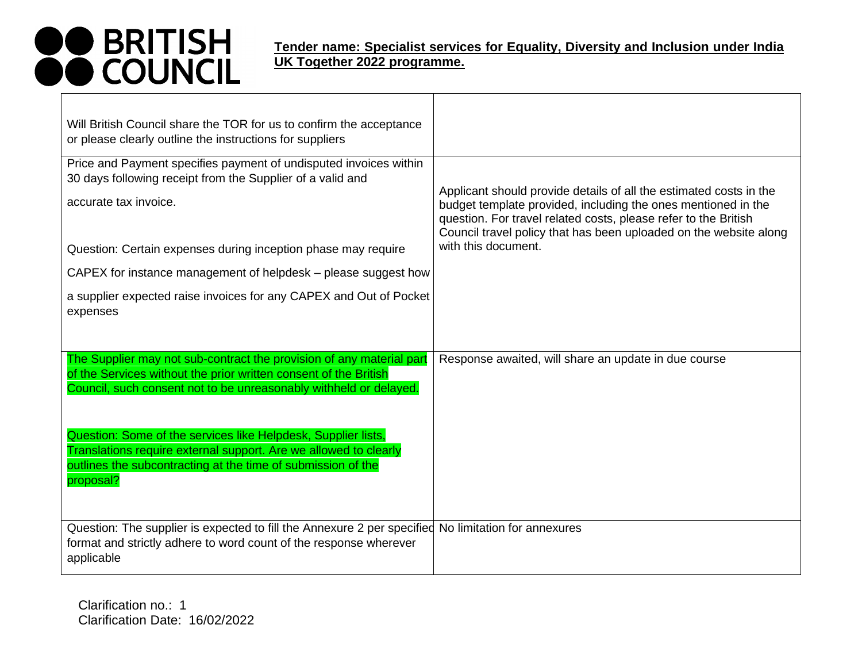| Will British Council share the TOR for us to confirm the acceptance<br>or please clearly outline the instructions for suppliers                                                                                           |                                                                                                                                                                                                                                                                                                    |
|---------------------------------------------------------------------------------------------------------------------------------------------------------------------------------------------------------------------------|----------------------------------------------------------------------------------------------------------------------------------------------------------------------------------------------------------------------------------------------------------------------------------------------------|
| Price and Payment specifies payment of undisputed invoices within<br>30 days following receipt from the Supplier of a valid and<br>accurate tax invoice.<br>Question: Certain expenses during inception phase may require | Applicant should provide details of all the estimated costs in the<br>budget template provided, including the ones mentioned in the<br>question. For travel related costs, please refer to the British<br>Council travel policy that has been uploaded on the website along<br>with this document. |
| CAPEX for instance management of helpdesk – please suggest how                                                                                                                                                            |                                                                                                                                                                                                                                                                                                    |
| a supplier expected raise invoices for any CAPEX and Out of Pocket<br>expenses                                                                                                                                            |                                                                                                                                                                                                                                                                                                    |
| The Supplier may not sub-contract the provision of any material part<br>of the Services without the prior written consent of the British<br>Council, such consent not to be unreasonably withheld or delayed.             | Response awaited, will share an update in due course                                                                                                                                                                                                                                               |
| Question: Some of the services like Helpdesk, Supplier lists,<br>Translations require external support. Are we allowed to clearly<br>outlines the subcontracting at the time of submission of the<br>proposal?            |                                                                                                                                                                                                                                                                                                    |
| Question: The supplier is expected to fill the Annexure 2 per specified No limitation for annexures<br>format and strictly adhere to word count of the response wherever<br>applicable                                    |                                                                                                                                                                                                                                                                                                    |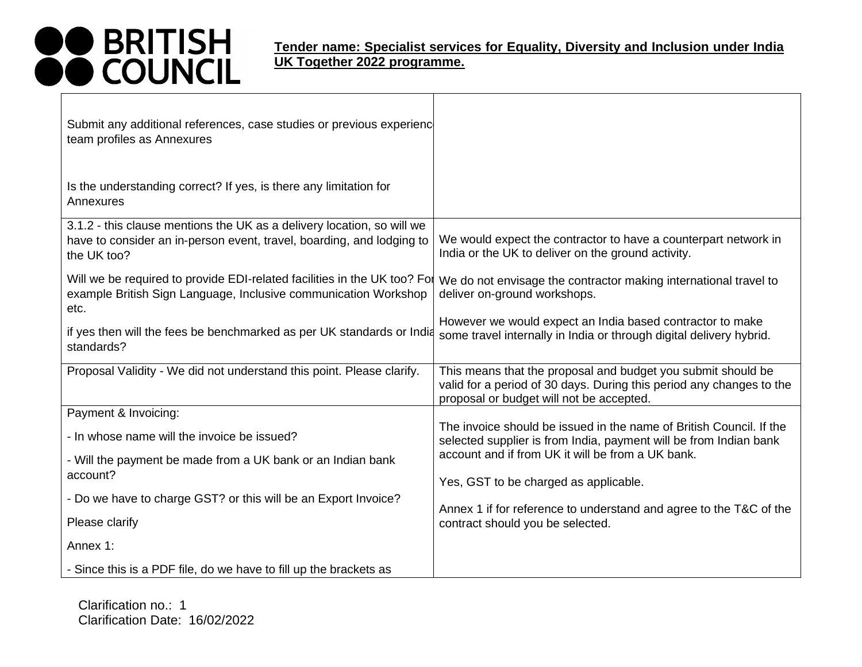#### **Tender name: Specialist services for Equality, Diversity and Inclusion under India UK Together 2022 programme.**

| Submit any additional references, case studies or previous experienc<br>team profiles as Annexures                                                             |                                                                                                                                                                                  |
|----------------------------------------------------------------------------------------------------------------------------------------------------------------|----------------------------------------------------------------------------------------------------------------------------------------------------------------------------------|
| Is the understanding correct? If yes, is there any limitation for<br>Annexures                                                                                 |                                                                                                                                                                                  |
| 3.1.2 - this clause mentions the UK as a delivery location, so will we<br>have to consider an in-person event, travel, boarding, and lodging to<br>the UK too? | We would expect the contractor to have a counterpart network in<br>India or the UK to deliver on the ground activity.                                                            |
| Will we be required to provide EDI-related facilities in the UK too? For<br>example British Sign Language, Inclusive communication Workshop<br>etc.            | We do not envisage the contractor making international travel to<br>deliver on-ground workshops.                                                                                 |
| if yes then will the fees be benchmarked as per UK standards or India<br>standards?                                                                            | However we would expect an India based contractor to make<br>some travel internally in India or through digital delivery hybrid.                                                 |
| Proposal Validity - We did not understand this point. Please clarify.                                                                                          | This means that the proposal and budget you submit should be<br>valid for a period of 30 days. During this period any changes to the<br>proposal or budget will not be accepted. |
| Payment & Invoicing:                                                                                                                                           |                                                                                                                                                                                  |
| - In whose name will the invoice be issued?                                                                                                                    | The invoice should be issued in the name of British Council. If the<br>selected supplier is from India, payment will be from Indian bank                                         |
| - Will the payment be made from a UK bank or an Indian bank<br>account?                                                                                        | account and if from UK it will be from a UK bank.<br>Yes, GST to be charged as applicable.                                                                                       |
|                                                                                                                                                                |                                                                                                                                                                                  |
| - Do we have to charge GST? or this will be an Export Invoice?<br>Please clarify                                                                               | Annex 1 if for reference to understand and agree to the T&C of the<br>contract should you be selected.                                                                           |
| Annex 1:                                                                                                                                                       |                                                                                                                                                                                  |
| - Since this is a PDF file, do we have to fill up the brackets as                                                                                              |                                                                                                                                                                                  |

Clarification no.: 1 Clarification Date: 16/02/2022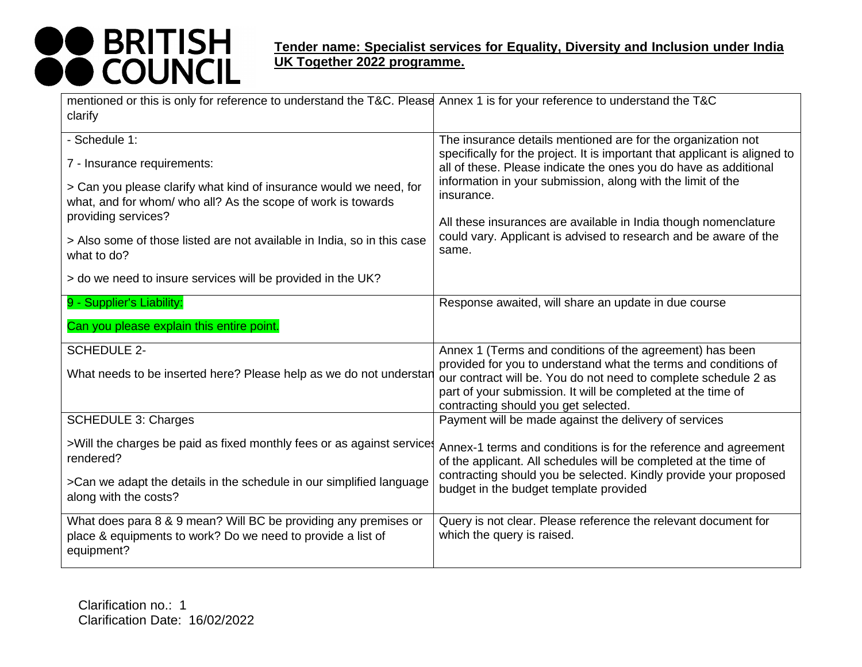| mentioned or this is only for reference to understand the T&C. Please Annex 1 is for your reference to understand the T&C                                                                                                                                                                           |                                                                                                                                                                                                                                                                                                                                                                                                                                             |
|-----------------------------------------------------------------------------------------------------------------------------------------------------------------------------------------------------------------------------------------------------------------------------------------------------|---------------------------------------------------------------------------------------------------------------------------------------------------------------------------------------------------------------------------------------------------------------------------------------------------------------------------------------------------------------------------------------------------------------------------------------------|
| clarify                                                                                                                                                                                                                                                                                             |                                                                                                                                                                                                                                                                                                                                                                                                                                             |
| - Schedule 1:<br>7 - Insurance requirements:<br>> Can you please clarify what kind of insurance would we need, for<br>what, and for whom/ who all? As the scope of work is towards<br>providing services?<br>> Also some of those listed are not available in India, so in this case<br>what to do? | The insurance details mentioned are for the organization not<br>specifically for the project. It is important that applicant is aligned to<br>all of these. Please indicate the ones you do have as additional<br>information in your submission, along with the limit of the<br>insurance.<br>All these insurances are available in India though nomenclature<br>could vary. Applicant is advised to research and be aware of the<br>same. |
| > do we need to insure services will be provided in the UK?                                                                                                                                                                                                                                         |                                                                                                                                                                                                                                                                                                                                                                                                                                             |
| 9 - Supplier's Liability:                                                                                                                                                                                                                                                                           | Response awaited, will share an update in due course                                                                                                                                                                                                                                                                                                                                                                                        |
| Can you please explain this entire point.                                                                                                                                                                                                                                                           |                                                                                                                                                                                                                                                                                                                                                                                                                                             |
| <b>SCHEDULE 2-</b><br>What needs to be inserted here? Please help as we do not understar                                                                                                                                                                                                            | Annex 1 (Terms and conditions of the agreement) has been<br>provided for you to understand what the terms and conditions of<br>our contract will be. You do not need to complete schedule 2 as<br>part of your submission. It will be completed at the time of<br>contracting should you get selected.                                                                                                                                      |
| <b>SCHEDULE 3: Charges</b>                                                                                                                                                                                                                                                                          | Payment will be made against the delivery of services                                                                                                                                                                                                                                                                                                                                                                                       |
| >Will the charges be paid as fixed monthly fees or as against services<br>rendered?<br>>Can we adapt the details in the schedule in our simplified language<br>along with the costs?                                                                                                                | Annex-1 terms and conditions is for the reference and agreement<br>of the applicant. All schedules will be completed at the time of<br>contracting should you be selected. Kindly provide your proposed<br>budget in the budget template provided                                                                                                                                                                                           |
| What does para 8 & 9 mean? Will BC be providing any premises or<br>place & equipments to work? Do we need to provide a list of<br>equipment?                                                                                                                                                        | Query is not clear. Please reference the relevant document for<br>which the query is raised.                                                                                                                                                                                                                                                                                                                                                |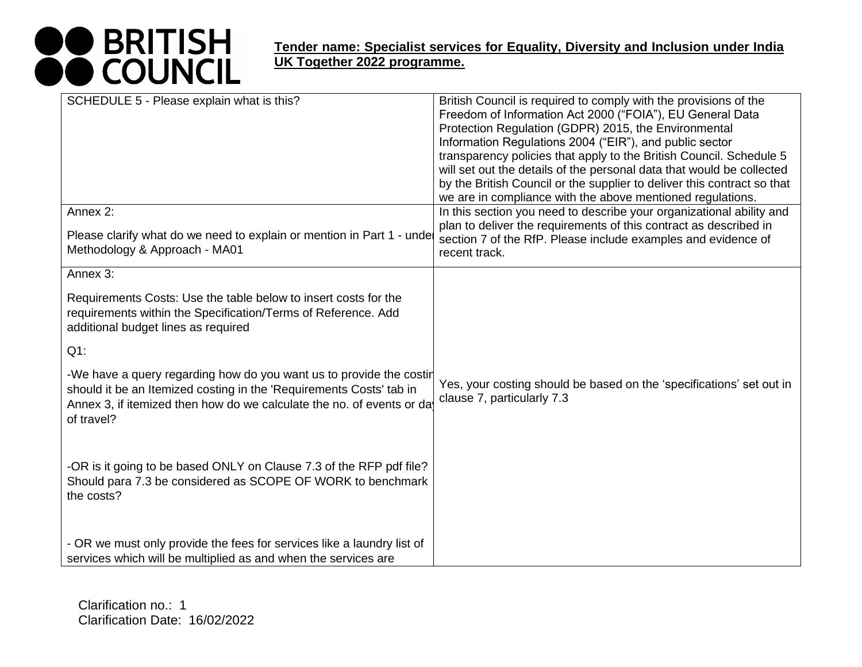| SCHEDULE 5 - Please explain what is this?                                                                                                                                                                                         | British Council is required to comply with the provisions of the<br>Freedom of Information Act 2000 ("FOIA"), EU General Data<br>Protection Regulation (GDPR) 2015, the Environmental<br>Information Regulations 2004 ("EIR"), and public sector<br>transparency policies that apply to the British Council. Schedule 5<br>will set out the details of the personal data that would be collected<br>by the British Council or the supplier to deliver this contract so that<br>we are in compliance with the above mentioned regulations. |
|-----------------------------------------------------------------------------------------------------------------------------------------------------------------------------------------------------------------------------------|-------------------------------------------------------------------------------------------------------------------------------------------------------------------------------------------------------------------------------------------------------------------------------------------------------------------------------------------------------------------------------------------------------------------------------------------------------------------------------------------------------------------------------------------|
| Annex 2:<br>Please clarify what do we need to explain or mention in Part 1 - unde<br>Methodology & Approach - MA01                                                                                                                | In this section you need to describe your organizational ability and<br>plan to deliver the requirements of this contract as described in<br>section 7 of the RfP. Please include examples and evidence of<br>recent track.                                                                                                                                                                                                                                                                                                               |
| Annex 3:                                                                                                                                                                                                                          |                                                                                                                                                                                                                                                                                                                                                                                                                                                                                                                                           |
| Requirements Costs: Use the table below to insert costs for the<br>requirements within the Specification/Terms of Reference. Add<br>additional budget lines as required                                                           |                                                                                                                                                                                                                                                                                                                                                                                                                                                                                                                                           |
| $Q1$ :                                                                                                                                                                                                                            |                                                                                                                                                                                                                                                                                                                                                                                                                                                                                                                                           |
| -We have a query regarding how do you want us to provide the costir<br>should it be an Itemized costing in the 'Requirements Costs' tab in<br>Annex 3, if itemized then how do we calculate the no. of events or da<br>of travel? | Yes, your costing should be based on the 'specifications' set out in<br>clause 7, particularly 7.3                                                                                                                                                                                                                                                                                                                                                                                                                                        |
| -OR is it going to be based ONLY on Clause 7.3 of the RFP pdf file?<br>Should para 7.3 be considered as SCOPE OF WORK to benchmark<br>the costs?                                                                                  |                                                                                                                                                                                                                                                                                                                                                                                                                                                                                                                                           |
| - OR we must only provide the fees for services like a laundry list of<br>services which will be multiplied as and when the services are                                                                                          |                                                                                                                                                                                                                                                                                                                                                                                                                                                                                                                                           |